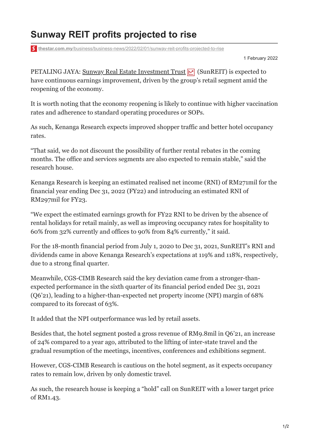## **Sunway REIT profits projected to rise**

**thestar.com.my**[/business/business-news/2022/02/01/sunway-reit-profits-projected-to-rise](https://www.thestar.com.my/business/business-news/2022/02/01/sunway-reit-profits-projected-to-rise)

1 February 2022

PETALING JAYA: [Sunway Real Estate Investment Trust](https://www.thestar.com.my/business/marketwatch/stocks/?qcounter=SUNREIT)  $\boxed{\triangleright}$  (SunREIT) is expected to have continuous earnings improvement, driven by the group's retail segment amid the reopening of the economy.

It is worth noting that the economy reopening is likely to continue with higher vaccination rates and adherence to standard operating procedures or SOPs.

As such, Kenanga Research expects improved shopper traffic and better hotel occupancy rates.

"That said, we do not discount the possibility of further rental rebates in the coming months. The office and services segments are also expected to remain stable," said the research house.

Kenanga Research is keeping an estimated realised net income (RNI) of RM271mil for the financial year ending Dec 31, 2022 (FY22) and introducing an estimated RNI of RM297mil for FY23.

"We expect the estimated earnings growth for FY22 RNI to be driven by the absence of rental holidays for retail mainly, as well as improving occupancy rates for hospitality to 60% from 32% currently and offices to 90% from 84% currently," it said.

For the 18-month financial period from July 1, 2020 to Dec 31, 2021, SunREIT's RNI and dividends came in above Kenanga Research's expectations at 119% and 118%, respectively, due to a strong final quarter.

Meanwhile, CGS-CIMB Research said the key deviation came from a stronger-thanexpected performance in the sixth quarter of its financial period ended Dec 31, 2021 (Q6'21), leading to a higher-than-expected net property income (NPI) margin of 68% compared to its forecast of 63%.

It added that the NPI outperformance was led by retail assets.

Besides that, the hotel segment posted a gross revenue of RM9.8mil in Q6'21, an increase of 24% compared to a year ago, attributed to the lifting of inter-state travel and the gradual resumption of the meetings, incentives, conferences and exhibitions segment.

However, CGS-CIMB Research is cautious on the hotel segment, as it expects occupancy rates to remain low, driven by only domestic travel.

As such, the research house is keeping a "hold" call on SunREIT with a lower target price of RM1.43.